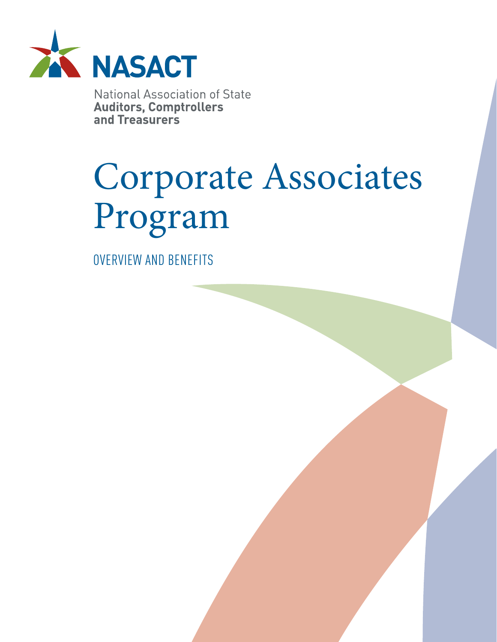

**National Association of State Auditors, Comptrollers<br>and Treasurers** 

# Corporate Associates Program

OVERVIEW AND BENEFITS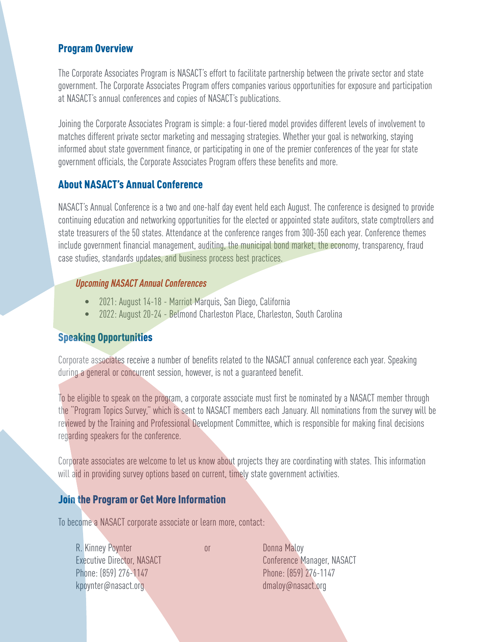### Program Overview

The Corporate Associates Program is NASACT's effort to facilitate partnership between the private sector and state government. The Corporate Associates Program offers companies various opportunities for exposure and participation at NASACT's annual conferences and copies of NASACT's publications.

Joining the Corporate Associates Program is simple: a four-tiered model provides different levels of involvement to matches different private sector marketing and messaging strategies. Whether your goal is networking, staying informed about state government finance, or participating in one of the premier conferences of the year for state government officials, the Corporate Associates Program offers these benefits and more.

## About NASACT's Annual Conference

NASACT's Annual Conference is a two and one-half day event held each August. The conference is designed to provide continuing education and networking opportunities for the elected or appointed state auditors, state comptrollers and state treasurers of the 50 states. Attendance at the conference ranges from 300-350 each year. Conference themes include government financial management, auditing, the municipal bond market, the economy, transparency, fraud case studies, standards updates, and business process best practices.

#### *Upcoming NASACT Annual Conferences*

- 2021: August 14-18 Marriot Marquis, San Diego, California
- 2022: August 20-24 Belmond Charleston Place, Charleston, South Carolina

## Speaking Opportunities

Corporate associates receive a number of benefits related to the NASACT annual conference each year. Speaking during a general or concurrent session, however, is not a guaranteed benefit.

To be eligible to speak on the program, a corporate associate must first be nominated by a NASACT member through the "Program Topics Survey," which is sent to NASACT members each January. All nominations from the survey will be reviewed by the Training and Professional Development Committee, which is responsible for making final decisions regarding speakers for the conference.

Corporate associates are welcome to let us know about projects they are coordinating with states. This information will aid in providing survey options based on current, timely state government activities.

#### Join the Program or Get More Information

To become a NASACT corporate associate or learn more, contact:

R. Kinney Poynter or Donna Maloy Executive Director, NASACT Conference Manager, NASACT Phone: (859) 276-1147 Phone: (859) 276-1147 kpoynter@nasact.org dmaloy@nasact.org dmaloy@nasact.org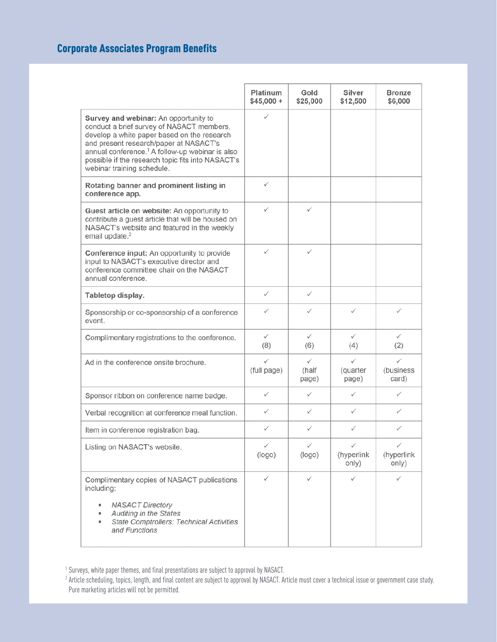## Corporate Associates Program Benefits

|                                                                                                                                                                                                                                                                                                                               | Platinum<br>$$45,000 +$ | Gold<br>\$25,000    | Silver<br>\$12,500                  | <b>Bronze</b><br>\$6,000 |
|-------------------------------------------------------------------------------------------------------------------------------------------------------------------------------------------------------------------------------------------------------------------------------------------------------------------------------|-------------------------|---------------------|-------------------------------------|--------------------------|
| Survey and webinar: An opportunity to<br>conduct a brief survey of NASACT members,<br>develop a white paper based on the research<br>and present research/paper at NASACT's<br>annual conference. <sup>1</sup> A follow-up webinar is also<br>possible if the research topic fits into NASACT's<br>webinar training schedule. | ✓                       |                     |                                     |                          |
| Rotating banner and prominent listing in<br>conference app.                                                                                                                                                                                                                                                                   | ✓                       |                     |                                     |                          |
| Guest article on website: An opportunity to<br>contribute a guest article that will be housed on<br>NASACT's website and featured in the weekly<br>email update. <sup>2</sup>                                                                                                                                                 | ✓                       | ✓                   |                                     |                          |
| <b>Conference input:</b> An opportunity to provide<br>input to NASACT's executive director and<br>conference committee chair on the NASACT<br>annual conference.                                                                                                                                                              | $\checkmark$            | ✓                   |                                     |                          |
| Tabletop display.                                                                                                                                                                                                                                                                                                             | ✓                       | ✓                   |                                     |                          |
| Sponsorship or co-sponsorship of a conference<br>event.                                                                                                                                                                                                                                                                       | ✓                       | ✓                   | $\checkmark$                        | ✓                        |
| Complimentary registrations to the conference.                                                                                                                                                                                                                                                                                | $\checkmark$<br>(8)     | ✓<br>(6)            | $\checkmark$<br>(4)                 | $\checkmark$<br>(2)      |
| Ad in the conference onsite brochure.                                                                                                                                                                                                                                                                                         | ✓<br>(full page)        | ✓<br>(half<br>page) | $\checkmark$<br>(quarter<br>page)   | ✓<br>(business<br>card)  |
| Sponsor ribbon on conference name badge.                                                                                                                                                                                                                                                                                      | ✓                       | ✓                   | ✓                                   | ✓                        |
| Verbal recognition at conference meal function.                                                                                                                                                                                                                                                                               | $\checkmark$            | ✓                   | $\checkmark$                        | ✓                        |
| Item in conference registration bag.                                                                                                                                                                                                                                                                                          | ✓                       | ✓                   | ✓                                   | ✓                        |
| Listing on NASACT's website.                                                                                                                                                                                                                                                                                                  | $\checkmark$<br>(logo)  | ✓<br>(logo)         | $\checkmark$<br>(hyperlink<br>only) | ✓<br>(hyperlink<br>only) |
| Complimentary copies of NASACT publications<br>including:<br><b>NASACT Directory</b><br>Auditing in the States<br><b>State Comptrollers: Technical Activities</b><br>٠<br>and Functions                                                                                                                                       | ✓                       | ✓                   | ✓                                   | ✓                        |

1 Surveys, white paper themes, and final presentations are subject to approval by NASACT.

2 Article scheduling, topics, length, and final content are subject to approval by NASACT. Article must cover a technical issue or government case study. Pure marketing articles will not be permitted.